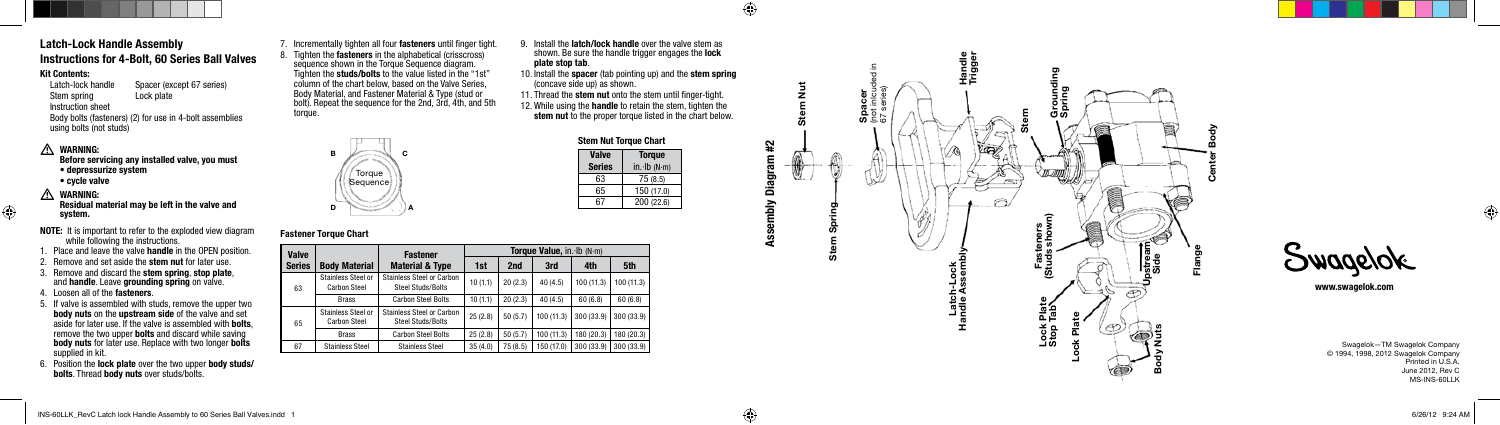Fastener Material & Type

63

Carbon Steel

Stainless Steel or Stainless Steel or Carbon

**Valve**<br>Series

65

| Body Material |

Stainless Steel or Carbon Steel

www.swagelok.com

Before servicing any installed valve, you must • depressurize system **A WARNING:**<br>
Before serv<br>
● depressu<br>
● cycle valv<br>
<u>A WARNING:</u>







- NOTE: It is important to refer to the exploded view diagram while following the instructions.
- Place and leave the valve **handle** in the OPEN position.
- Remove and set aside the stem nut for later use.
- 3. Remove and discard the stem spring, stop plate, and handle. Leave grounding spring on valve.
- 4. Loosen all of the fasteners.
- 5. If valve is assembled with studs, remove the upper two body nuts on the upstream side of the valve and set aside for later use. If the valve is assembled with bolts, remove the two upper **bolts** and discard while saving body nuts for later use. Replace with two longer bolts supplied in kit.
- 6. Position the lock plate over the two upper body studs/ bolts. Thread body nuts over studs/bolts.

# Assembly Diagram #2

 $\sim$ 

 $\bigoplus$ 



# Latch-Lock Handle Assembly Instructions for 4-Bolt, 60 Series Ball Valves

Fastener Torque Chart

Swagelok—TM Swagelok Company © 1994, 1998, 2012 Swagelok Company Printed in U.S.A. June 2012, Rev C MS-INS-60LLK

⊕

#### Kit Contents:

7. Incrementally tighten all four fasteners until finger tight. 8. Tighten the **fasteners** in the alphabetical (crisscross) sequence shown in the Torque Sequence diagram. Tighten the studs/bolts to the value listed in the "1st" column of the chart below, based on the Valve Series, Body Material, and Fastener Material & Type (stud or bolt). Repeat the sequence for the 2nd, 3rd, 4th, and 5th torque.

> **Torque Sequence**

Latch-lock handle Spacer (except 67 series) Stem spring Instruction sheet Body bolts (fasteners) (2) for use in 4-bolt assemblies using bolts (not studs)

# A WARNING:

- cycle valve
- 

⊕

#### Residual material may be left in the valve and system.

- 10. Install the spacer (tab pointing up) and the stem spring (concave side up) as shown.
- 11. Thread the stem nut onto the stem until finger-tight.
- 12. While using the handle to retain the stem, tighten the stem nut to the proper torque listed in the chart below.

| <b>Stem Nut Torque Chart</b> |               |  |  |  |
|------------------------------|---------------|--|--|--|
| <b>Valve</b>                 | <b>Torque</b> |  |  |  |
| <b>Series</b>                | in·lb(N·m)    |  |  |  |
| 63                           | 75 (8.5)      |  |  |  |
| 65                           | 150 (17.0)    |  |  |  |
| 67                           | 200 (22.6)    |  |  |  |

Torque Value, in. Ib (N·m) 1st  $\vert$  2nd  $\vert$  3rd  $\vert$  4th  $\vert$  5th

 $25 (2.8)$  50 (5.7) 100 (11.3) 300 (33.9) 300 (33.9)

diffress Steel of Carbon | 10 (1.1) | 20 (2.3) | 40 (4.5) | 100 (11.3) | 100 (11.3)<br>Steel Studs/Bolts

Brass | Carbon Steel Bolts | 10 (1.1) | 20 (2.3) | 40 (4.5) | 60 (6.8) | 60 (6.8)

Brass | Carbon Steel Bolts | 25 (2.8) | 50 (5.7) | 100 (11.3) | 180 (20.3) | 180 (20.3)

67 Stainless Steel Stainless Steel 35 (4.0) | 75 (8.5) | 150 (17.0) | 300 (33.9) | 300 (33.9)



B

C

D

A

Stainless Steel or Carbon<br>Steel Studs/Bolts